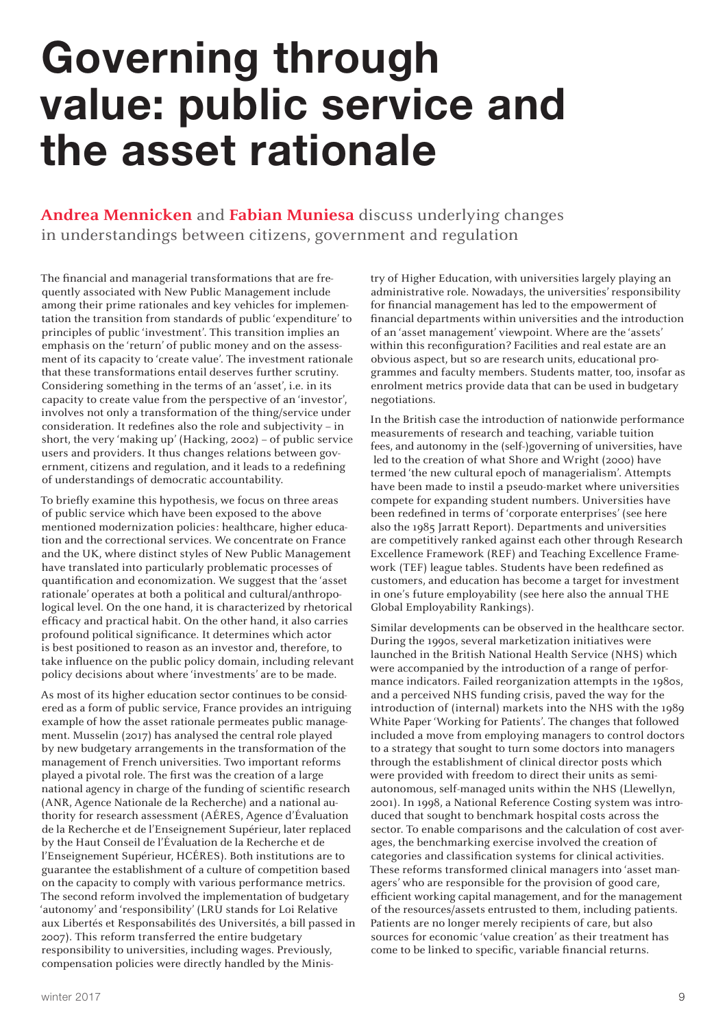## Governing through value: public service and the asset rationale

**Andrea Mennicken** and **Fabian Muniesa** discuss underlying changes in understandings between citizens, government and regulation

The financial and managerial transformations that are frequently associated with New Public Management include among their prime rationales and key vehicles for implementation the transition from standards of public 'expenditure' to principles of public 'investment'. This transition implies an emphasis on the 'return' of public money and on the assessment of its capacity to 'create value'. The investment rationale that these transformations entail deserves further scrutiny. Considering something in the terms of an 'asset', i.e. in its capacity to create value from the perspective of an 'investor', involves not only a transformation of the thing/service under consideration. It redefines also the role and subjectivity – in short, the very 'making up' (Hacking, 2002) – of public service users and providers. It thus changes relations between government, citizens and regulation, and it leads to a redefining of understandings of democratic accountability.

To briefly examine this hypothesis, we focus on three areas of public service which have been exposed to the above mentioned modernization policies: healthcare, higher education and the correctional services. We concentrate on France and the UK, where distinct styles of New Public Management have translated into particularly problematic processes of quantification and economization. We suggest that the 'asset rationale' operates at both a political and cultural/anthropological level. On the one hand, it is characterized by rhetorical efficacy and practical habit. On the other hand, it also carries profound political significance. It determines which actor is best positioned to reason as an investor and, therefore, to take influence on the public policy domain, including relevant policy decisions about where 'investments' are to be made.

As most of its higher education sector continues to be considered as a form of public service, France provides an intriguing example of how the asset rationale permeates public management. Musselin (2017) has analysed the central role played by new budgetary arrangements in the transformation of the management of French universities. Two important reforms played a pivotal role. The first was the creation of a large national agency in charge of the funding of scientific research (ANR, Agence Nationale de la Recherche) and a national authority for research assessment (AÉRES, Agence d'Évaluation de la Recherche et de l'Enseignement Supérieur, later replaced by the Haut Conseil de l'Évaluation de la Recherche et de l'Enseignement Supérieur, HCÉRES). Both institutions are to guarantee the establishment of a culture of competition based on the capacity to comply with various performance metrics. The second reform involved the implementation of budgetary 'autonomy' and 'responsibility' (LRU stands for Loi Relative aux Libertés et Responsabilités des Universités, a bill passed in 2007). This reform transferred the entire budgetary responsibility to universities, including wages. Previously, compensation policies were directly handled by the Minis-

try of Higher Education, with universities largely playing an administrative role. Nowadays, the universities' responsibility for financial management has led to the empowerment of financial departments within universities and the introduction of an 'asset management' viewpoint. Where are the 'assets' within this reconfiguration? Facilities and real estate are an obvious aspect, but so are research units, educational programmes and faculty members. Students matter, too, insofar as enrolment metrics provide data that can be used in budgetary negotiations.

In the British case the introduction of nationwide performance measurements of research and teaching, variable tuition fees, and autonomy in the (self-)governing of universities, have led to the creation of what Shore and Wright (2000) have termed 'the new cultural epoch of managerialism'. Attempts have been made to instil a pseudo-market where universities compete for expanding student numbers. Universities have been redefined in terms of 'corporate enterprises' (see here also the 1985 Jarratt Report). Departments and universities are competitively ranked against each other through Research Excellence Framework (REF) and Teaching Excellence Framework (TEF) league tables. Students have been redefined as customers, and education has become a target for investment in one's future employability (see here also the annual THE Global Employability Rankings).

Similar developments can be observed in the healthcare sector. During the 1990s, several marketization initiatives were launched in the British National Health Service (NHS) which were accompanied by the introduction of a range of performance indicators. Failed reorganization attempts in the 1980s, and a perceived NHS funding crisis, paved the way for the introduction of (internal) markets into the NHS with the 1989 White Paper 'Working for Patients'. The changes that followed included a move from employing managers to control doctors to a strategy that sought to turn some doctors into managers through the establishment of clinical director posts which were provided with freedom to direct their units as semiautonomous, self-managed units within the NHS (Llewellyn, 2001). In 1998, a National Reference Costing system was introduced that sought to benchmark hospital costs across the sector. To enable comparisons and the calculation of cost averages, the benchmarking exercise involved the creation of categories and classification systems for clinical activities. These reforms transformed clinical managers into 'asset managers' who are responsible for the provision of good care, efficient working capital management, and for the management of the resources/assets entrusted to them, including patients. Patients are no longer merely recipients of care, but also sources for economic 'value creation' as their treatment has come to be linked to specific, variable financial returns.